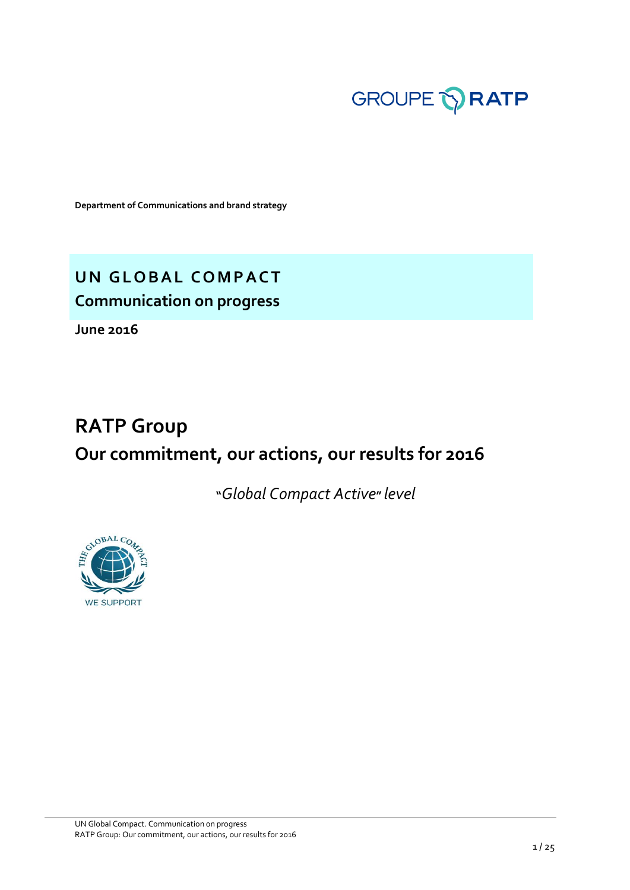

**Department of Communications and brand strategy**

**UN GLOBAL COMPACT Communication on progress** 

**June 2016**

# **RATP Group Our commitment, our actions, our results for 2016**

**"***Global Compact Active***"** *level*

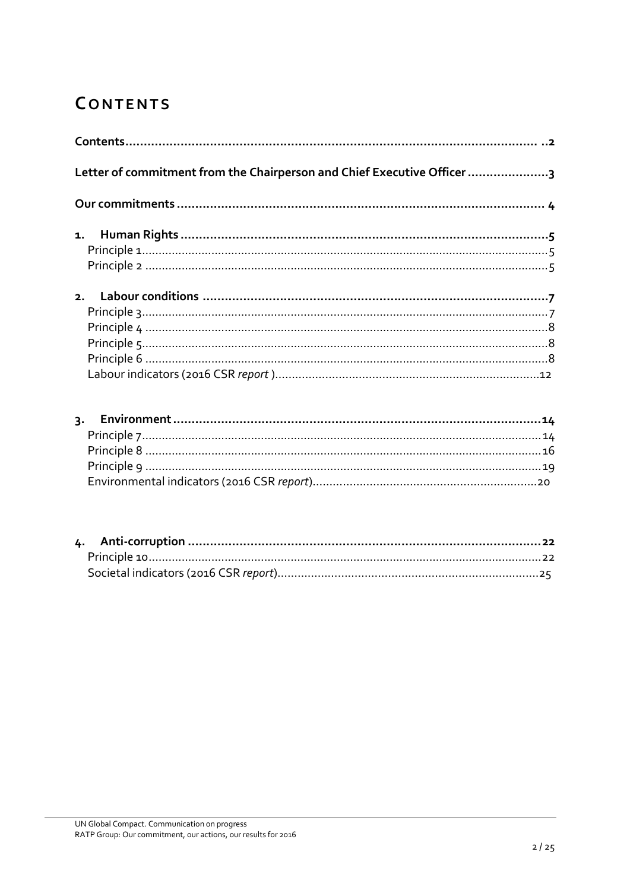# <span id="page-1-0"></span>**CONTENTS**

| Letter of commitment from the Chairperson and Chief Executive Officer 3 |  |
|-------------------------------------------------------------------------|--|
|                                                                         |  |
|                                                                         |  |
|                                                                         |  |
|                                                                         |  |
|                                                                         |  |
|                                                                         |  |
|                                                                         |  |
|                                                                         |  |
|                                                                         |  |
|                                                                         |  |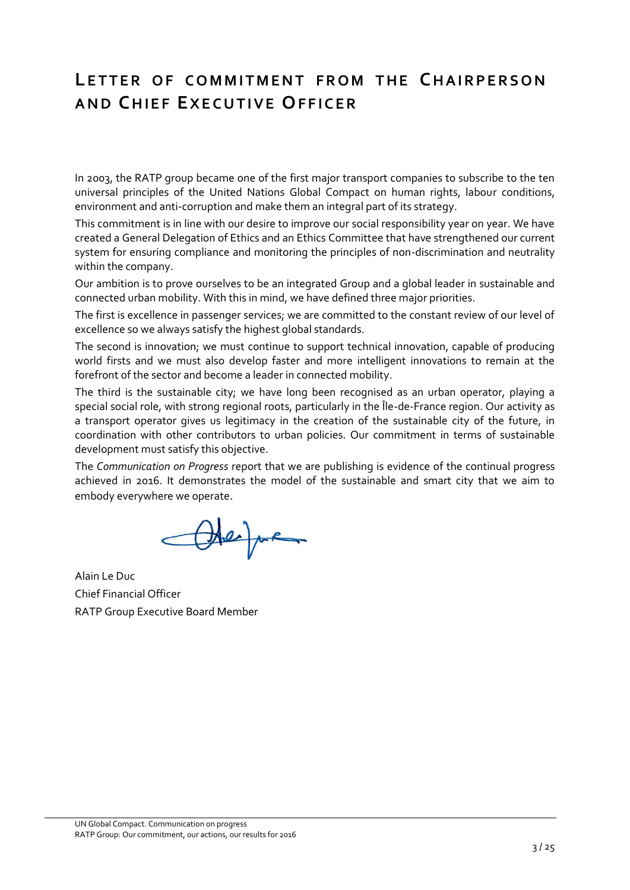# <span id="page-2-0"></span>**LETTER OF COMMITMENT FROM THE CHAIRPERSON A N D CH I E F EX E C U T I V E OF F I C E R**

In 2003, the RATP group became one of the first major transport companies to subscribe to the ten universal principles of the United Nations Global Compact on human rights, labour conditions, environment and anti-corruption and make them an integral part of its strategy.

This commitment is in line with our desire to improve our social responsibility year on year. We have created a General Delegation of Ethics and an Ethics Committee that have strengthened our current system for ensuring compliance and monitoring the principles of non-discrimination and neutrality within the company.

Our ambition is to prove ourselves to be an integrated Group and a global leader in sustainable and connected urban mobility. With this in mind, we have defined three major priorities.

The first is excellence in passenger services; we are committed to the constant review of our level of excellence so we always satisfy the highest global standards.

The second is innovation; we must continue to support technical innovation, capable of producing world firsts and we must also develop faster and more intelligent innovations to remain at the forefront of the sector and become a leader in connected mobility.

The third is the sustainable city; we have long been recognised as an urban operator, playing a special social role, with strong regional roots, particularly in the Île-de-France region. Our activity as a transport operator gives us legitimacy in the creation of the sustainable city of the future, in coordination with other contributors to urban policies. Our commitment in terms of sustainable development must satisfy this objective.

The *Communication on Progress* report that we are publishing is evidence of the continual progress achieved in 2016. It demonstrates the model of the sustainable and smart city that we aim to embody everywhere we operate.

Otephen

Alain Le Duc Chief Financial Officer RATP Group Executive Board Member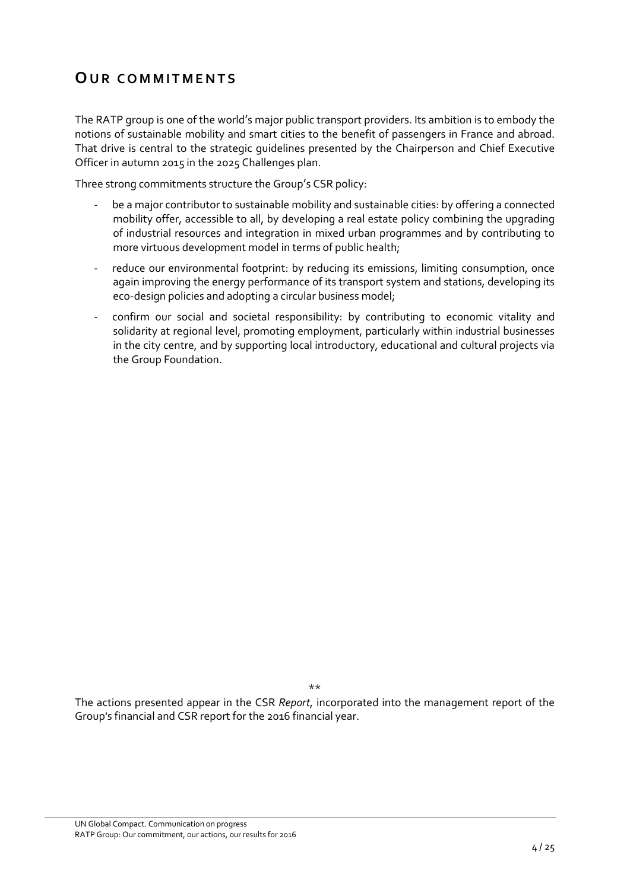## <span id="page-3-0"></span>**OUR COMMITMENTS**

The RATP group is one of the world's major public transport providers. Its ambition is to embody the notions of sustainable mobility and smart cities to the benefit of passengers in France and abroad. That drive is central to the strategic guidelines presented by the Chairperson and Chief Executive Officer in autumn 2015 in the 2025 Challenges plan.

Three strong commitments structure the Group's CSR policy:

- be a major contributor to sustainable mobility and sustainable cities: by offering a connected mobility offer, accessible to all, by developing a real estate policy combining the upgrading of industrial resources and integration in mixed urban programmes and by contributing to more virtuous development model in terms of public health;
- reduce our environmental footprint: by reducing its emissions, limiting consumption, once again improving the energy performance of its transport system and stations, developing its eco-design policies and adopting a circular business model;
- confirm our social and societal responsibility: by contributing to economic vitality and solidarity at regional level, promoting employment, particularly within industrial businesses in the city centre, and by supporting local introductory, educational and cultural projects via the Group Foundation.

\*\*

The actions presented appear in the CSR *Report*, incorporated into the management report of the Group's financial and CSR report for the 2016 financial year.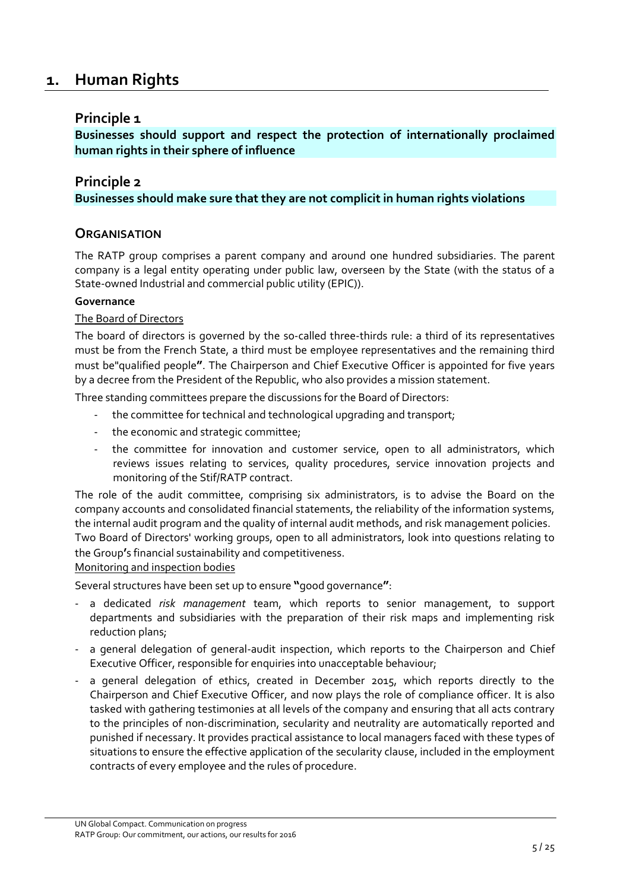## <span id="page-4-0"></span>**1. Human Rights**

## <span id="page-4-1"></span>**Principle 1**

**Businesses should support and respect the protection of internationally proclaimed human rights in their sphere of influence**

## <span id="page-4-2"></span>**Principle 2 Businesses should make sure that they are not complicit in human rights violations**

## **ORGANISATION**

The RATP group comprises a parent company and around one hundred subsidiaries. The parent company is a legal entity operating under public law, overseen by the State (with the status of a State-owned Industrial and commercial public utility (EPIC)).

#### **Governance**

#### The Board of Directors

The board of directors is governed by the so-called three-thirds rule: a third of its representatives must be from the French State, a third must be employee representatives and the remaining third must be"qualified people**"**. The Chairperson and Chief Executive Officer is appointed for five years by a decree from the President of the Republic, who also provides a mission statement.

Three standing committees prepare the discussions for the Board of Directors:

- the committee for technical and technological upgrading and transport;
- the economic and strategic committee;
- the committee for innovation and customer service, open to all administrators, which reviews issues relating to services, quality procedures, service innovation projects and monitoring of the Stif/RATP contract.

The role of the audit committee, comprising six administrators, is to advise the Board on the company accounts and consolidated financial statements, the reliability of the information systems, the internal audit program and the quality of internal audit methods, and risk management policies.

Two Board of Directors' working groups, open to all administrators, look into questions relating to the Group**'**s financial sustainability and competitiveness.

#### Monitoring and inspection bodies

Several structures have been set up to ensure **"**good governance**"**:

- a dedicated *risk management* team, which reports to senior management, to support departments and subsidiaries with the preparation of their risk maps and implementing risk reduction plans;
- a general delegation of general-audit inspection, which reports to the Chairperson and Chief Executive Officer, responsible for enquiries into unacceptable behaviour;
- a general delegation of ethics, created in December 2015, which reports directly to the Chairperson and Chief Executive Officer, and now plays the role of compliance officer. It is also tasked with gathering testimonies at all levels of the company and ensuring that all acts contrary to the principles of non-discrimination, secularity and neutrality are automatically reported and punished if necessary. It provides practical assistance to local managers faced with these types of situations to ensure the effective application of the secularity clause, included in the employment contracts of every employee and the rules of procedure.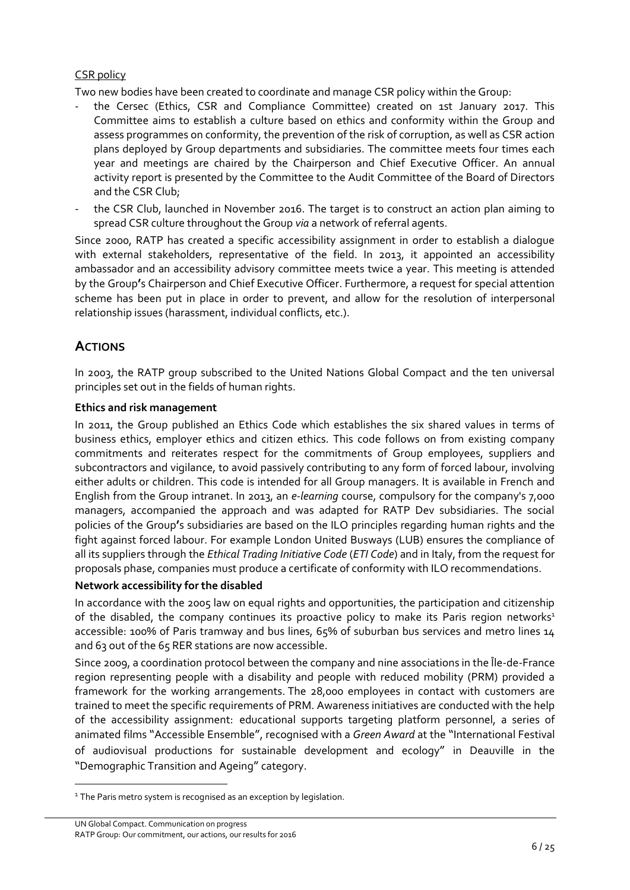## CSR policy

Two new bodies have been created to coordinate and manage CSR policy within the Group:

- the Cersec (Ethics, CSR and Compliance Committee) created on 1st January 2017. This Committee aims to establish a culture based on ethics and conformity within the Group and assess programmes on conformity, the prevention of the risk of corruption, as well as CSR action plans deployed by Group departments and subsidiaries. The committee meets four times each year and meetings are chaired by the Chairperson and Chief Executive Officer. An annual activity report is presented by the Committee to the Audit Committee of the Board of Directors and the CSR Club;
- the CSR Club, launched in November 2016. The target is to construct an action plan aiming to spread CSR culture throughout the Group *via* a network of referral agents.

Since 2000, RATP has created a specific accessibility assignment in order to establish a dialogue with external stakeholders, representative of the field. In 2013, it appointed an accessibility ambassador and an accessibility advisory committee meets twice a year. This meeting is attended by the Group**'**s Chairperson and Chief Executive Officer. Furthermore, a request for special attention scheme has been put in place in order to prevent, and allow for the resolution of interpersonal relationship issues (harassment, individual conflicts, etc.).

## **ACTIONS**

1

In 2003, the RATP group subscribed to the United Nations Global Compact and the ten universal principles set out in the fields of human rights.

#### **Ethics and risk management**

In 2011, the Group published an Ethics Code which establishes the six shared values in terms of business ethics, employer ethics and citizen ethics. This code follows on from existing company commitments and reiterates respect for the commitments of Group employees, suppliers and subcontractors and vigilance, to avoid passively contributing to any form of forced labour, involving either adults or children. This code is intended for all Group managers. It is available in French and English from the Group intranet. In 2013, an *e-learning* course, compulsory for the company's 7,000 managers, accompanied the approach and was adapted for RATP Dev subsidiaries. The social policies of the Group**'**s subsidiaries are based on the ILO principles regarding human rights and the fight against forced labour. For example London United Busways (LUB) ensures the compliance of all its suppliers through the *Ethical Trading Initiative Code* (*ETI Code*) and in Italy, from the request for proposals phase, companies must produce a certificate of conformity with ILO recommendations.

#### **Network accessibility for the disabled**

In accordance with the 2005 law on equal rights and opportunities, the participation and citizenship of the disabled, the company continues its proactive policy to make its Paris region networks<sup>1</sup> accessible: 100% of Paris tramway and bus lines, 65% of suburban bus services and metro lines 14 and 63 out of the 65 RER stations are now accessible.

Since 2009, a coordination protocol between the company and nine associations in the Île-de-France region representing people with a disability and people with reduced mobility (PRM) provided a framework for the working arrangements. The 28,000 employees in contact with customers are trained to meet the specific requirements of PRM. Awareness initiatives are conducted with the help of the accessibility assignment: educational supports targeting platform personnel, a series of animated films "Accessible Ensemble", recognised with a *Green Award* at the "International Festival of audiovisual productions for sustainable development and ecology" in Deauville in the "Demographic Transition and Ageing" category.

<sup>&</sup>lt;sup>1</sup> The Paris metro system is recognised as an exception by legislation.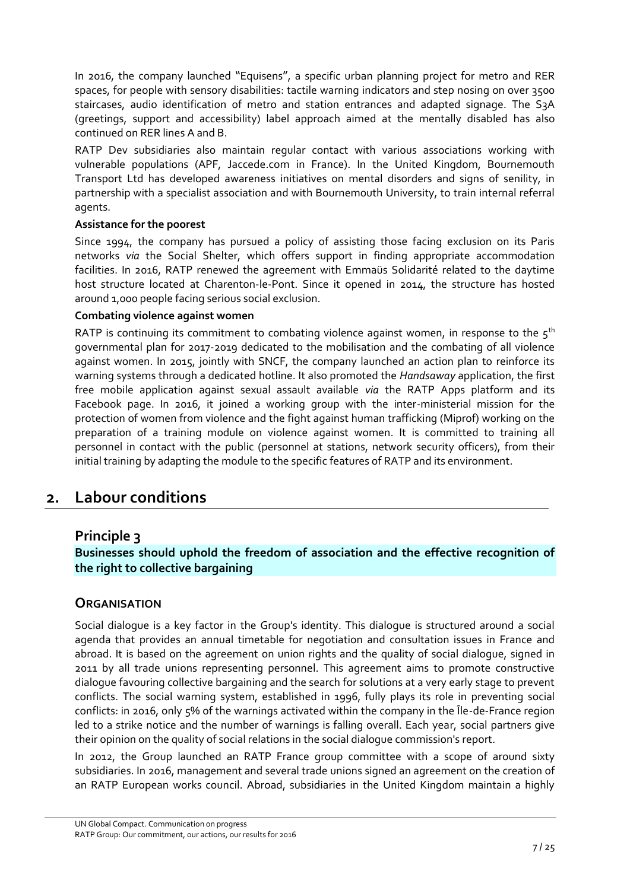In 2016, the company launched "Equisens", a specific urban planning project for metro and RER spaces, for people with sensory disabilities: tactile warning indicators and step nosing on over 3500 staircases, audio identification of metro and station entrances and adapted signage. The S3A (greetings, support and accessibility) label approach aimed at the mentally disabled has also continued on RER lines A and B.

RATP Dev subsidiaries also maintain regular contact with various associations working with vulnerable populations (APF, Jaccede.com in France). In the United Kingdom, Bournemouth Transport Ltd has developed awareness initiatives on mental disorders and signs of senility, in partnership with a specialist association and with Bournemouth University, to train internal referral agents.

## **Assistance for the poorest**

Since 1994, the company has pursued a policy of assisting those facing exclusion on its Paris networks *via* the Social Shelter, which offers support in finding appropriate accommodation facilities. In 2016, RATP renewed the agreement with Emmaüs Solidarité related to the daytime host structure located at Charenton-le-Pont. Since it opened in 2014, the structure has hosted around 1,000 people facing serious social exclusion.

## **Combating violence against women**

RATP is continuing its commitment to combating violence against women, in response to the  $5<sup>th</sup>$ governmental plan for 2017-2019 dedicated to the mobilisation and the combating of all violence against women. In 2015, jointly with SNCF, the company launched an action plan to reinforce its warning systems through a dedicated hotline. It also promoted the *Handsaway* application, the first free mobile application against sexual assault available *via* the RATP Apps platform and its Facebook page. In 2016, it joined a working group with the inter-ministerial mission for the protection of women from violence and the fight against human trafficking (Miprof) working on the preparation of a training module on violence against women. It is committed to training all personnel in contact with the public (personnel at stations, network security officers), from their initial training by adapting the module to the specific features of RATP and its environment.

## <span id="page-6-0"></span>**2. Labour conditions**

## <span id="page-6-1"></span>**Principle 3**

## **Businesses should uphold the freedom of association and the effective recognition of the right to collective bargaining**

## **ORGANISATION**

Social dialogue is a key factor in the Group's identity. This dialogue is structured around a social agenda that provides an annual timetable for negotiation and consultation issues in France and abroad. It is based on the agreement on union rights and the quality of social dialogue, signed in 2011 by all trade unions representing personnel. This agreement aims to promote constructive dialogue favouring collective bargaining and the search for solutions at a very early stage to prevent conflicts. The social warning system, established in 1996, fully plays its role in preventing social conflicts: in 2016, only 5% of the warnings activated within the company in the Île-de-France region led to a strike notice and the number of warnings is falling overall. Each year, social partners give their opinion on the quality of social relations in the social dialogue commission's report.

In 2012, the Group launched an RATP France group committee with a scope of around sixty subsidiaries. In 2016, management and several trade unions signed an agreement on the creation of an RATP European works council. Abroad, subsidiaries in the United Kingdom maintain a highly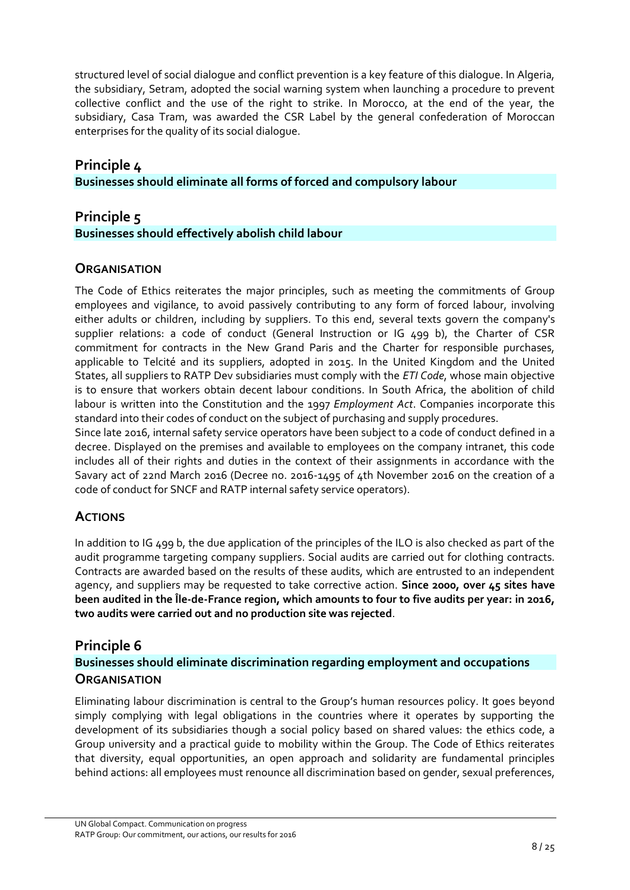structured level of social dialogue and conflict prevention is a key feature of this dialogue. In Algeria, the subsidiary, Setram, adopted the social warning system when launching a procedure to prevent collective conflict and the use of the right to strike. In Morocco, at the end of the year, the subsidiary, Casa Tram, was awarded the CSR Label by the general confederation of Moroccan enterprises for the quality of its social dialogue.

## <span id="page-7-0"></span>**Principle 4**

**Businesses should eliminate all forms of forced and compulsory labour**

## <span id="page-7-1"></span>**Principle 5**

## **Businesses should effectively abolish child labour**

## **ORGANISATION**

The Code of Ethics reiterates the major principles, such as meeting the commitments of Group employees and vigilance, to avoid passively contributing to any form of forced labour, involving either adults or children, including by suppliers. To this end, several texts govern the company's supplier relations: a code of conduct (General Instruction or IG 499 b), the Charter of CSR commitment for contracts in the New Grand Paris and the Charter for responsible purchases, applicable to Telcité and its suppliers, adopted in 2015. In the United Kingdom and the United States, all suppliers to RATP Dev subsidiaries must comply with the *ETI Code*, whose main objective is to ensure that workers obtain decent labour conditions. In South Africa, the abolition of child labour is written into the Constitution and the 1997 *Employment Act*. Companies incorporate this standard into their codes of conduct on the subject of purchasing and supply procedures.

Since late 2016, internal safety service operators have been subject to a code of conduct defined in a decree. Displayed on the premises and available to employees on the company intranet, this code includes all of their rights and duties in the context of their assignments in accordance with the Savary act of 22nd March 2016 (Decree no. 2016-1495 of 4th November 2016 on the creation of a code of conduct for SNCF and RATP internal safety service operators).

## **ACTIONS**

In addition to IG 499 b, the due application of the principles of the ILO is also checked as part of the audit programme targeting company suppliers. Social audits are carried out for clothing contracts. Contracts are awarded based on the results of these audits, which are entrusted to an independent agency, and suppliers may be requested to take corrective action. **Since 2000, over 45 sites have been audited in the Île-de-France region, which amounts to four to five audits per year: in 2016, two audits were carried out and no production site was rejected**.

## <span id="page-7-2"></span>**Principle 6**

## **Businesses should eliminate discrimination regarding employment and occupations ORGANISATION**

Eliminating labour discrimination is central to the Group's human resources policy. It goes beyond simply complying with legal obligations in the countries where it operates by supporting the development of its subsidiaries though a social policy based on shared values: the ethics code, a Group university and a practical guide to mobility within the Group. The Code of Ethics reiterates that diversity, equal opportunities, an open approach and solidarity are fundamental principles behind actions: all employees must renounce all discrimination based on gender, sexual preferences,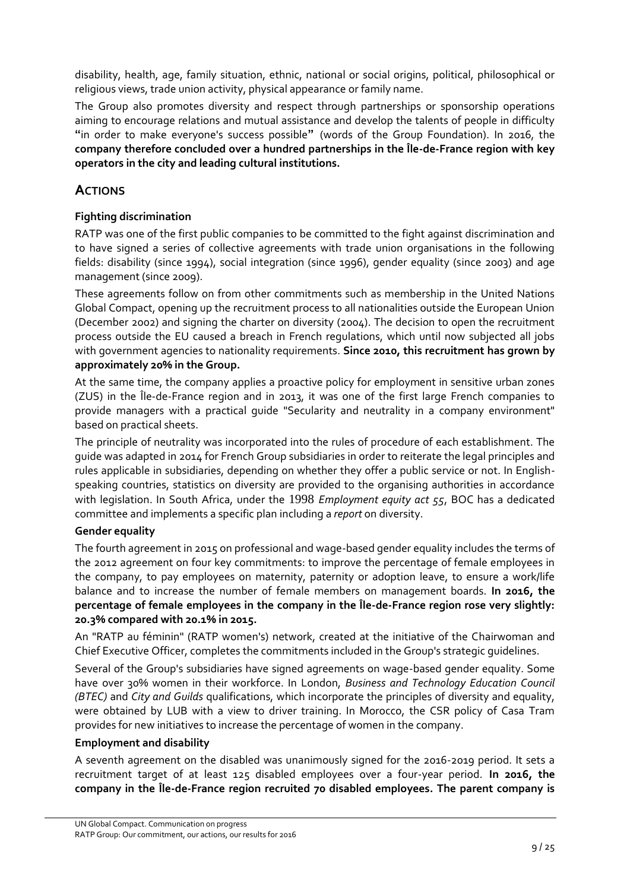disability, health, age, family situation, ethnic, national or social origins, political, philosophical or religious views, trade union activity, physical appearance or family name.

The Group also promotes diversity and respect through partnerships or sponsorship operations aiming to encourage relations and mutual assistance and develop the talents of people in difficulty **"**in order to make everyone's success possible**"** (words of the Group Foundation). In 2016, the **company therefore concluded over a hundred partnerships in the Île-de-France region with key operators in the city and leading cultural institutions.**

## **ACTIONS**

### **Fighting discrimination**

RATP was one of the first public companies to be committed to the fight against discrimination and to have signed a series of collective agreements with trade union organisations in the following fields: disability (since 1994), social integration (since 1996), gender equality (since 2003) and age management (since 2009).

These agreements follow on from other commitments such as membership in the United Nations Global Compact, opening up the recruitment process to all nationalities outside the European Union (December 2002) and signing the charter on diversity (2004). The decision to open the recruitment process outside the EU caused a breach in French regulations, which until now subjected all jobs with government agencies to nationality requirements. **Since 2010, this recruitment has grown by approximately 20% in the Group.**

At the same time, the company applies a proactive policy for employment in sensitive urban zones (ZUS) in the Île-de-France region and in 2013, it was one of the first large French companies to provide managers with a practical guide "Secularity and neutrality in a company environment" based on practical sheets.

The principle of neutrality was incorporated into the rules of procedure of each establishment. The guide was adapted in 2014 for French Group subsidiaries in order to reiterate the legal principles and rules applicable in subsidiaries, depending on whether they offer a public service or not. In Englishspeaking countries, statistics on diversity are provided to the organising authorities in accordance with legislation. In South Africa, under the 1998 *Employment equity act 55*, BOC has a dedicated committee and implements a specific plan including a *report* on diversity.

#### **Gender equality**

The fourth agreement in 2015 on professional and wage-based gender equality includes the terms of the 2012 agreement on four key commitments: to improve the percentage of female employees in the company, to pay employees on maternity, paternity or adoption leave, to ensure a work/life balance and to increase the number of female members on management boards. **In 2016, the percentage of female employees in the company in the Île-de-France region rose very slightly: 20.3% compared with 20.1% in 2015.**

An "RATP au féminin" (RATP women's) network, created at the initiative of the Chairwoman and Chief Executive Officer, completes the commitments included in the Group's strategic guidelines.

Several of the Group's subsidiaries have signed agreements on wage-based gender equality. Some have over 30% women in their workforce. In London, *Business and Technology Education Council (BTEC)* and *City and Guilds* qualifications, which incorporate the principles of diversity and equality, were obtained by LUB with a view to driver training. In Morocco, the CSR policy of Casa Tram provides for new initiatives to increase the percentage of women in the company.

#### **Employment and disability**

A seventh agreement on the disabled was unanimously signed for the 2016-2019 period. It sets a recruitment target of at least 125 disabled employees over a four-year period. **In 2016, the company in the Île-de-France region recruited 70 disabled employees. The parent company is**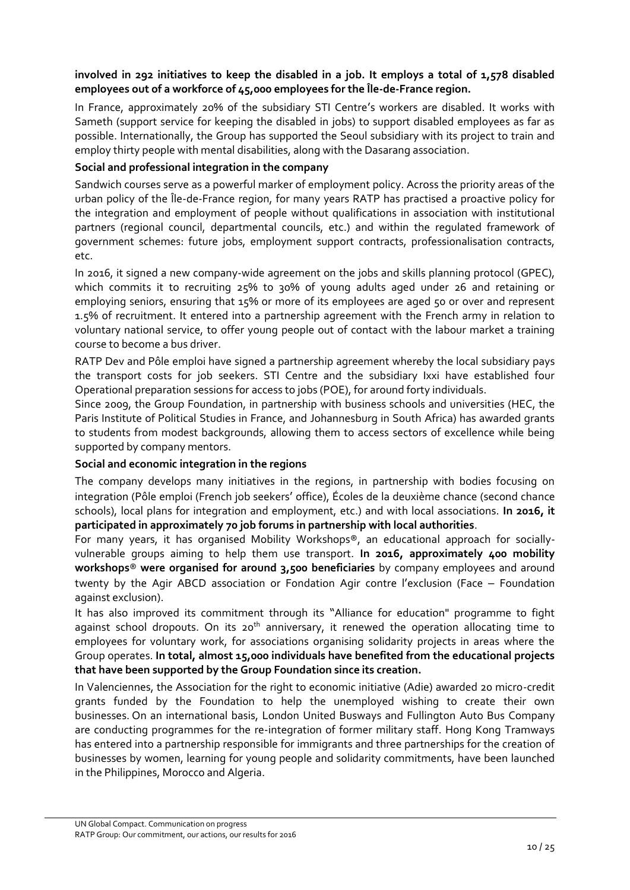## involved in 292 initiatives to keep the disabled in a job. It employs a total of 1,578 disabled **employees out of a workforce of 45,000 employees for the Île-de-France region.**

In France, approximately 20% of the subsidiary STI Centre's workers are disabled. It works with Sameth (support service for keeping the disabled in jobs) to support disabled employees as far as possible. Internationally, the Group has supported the Seoul subsidiary with its project to train and employ thirty people with mental disabilities, along with the Dasarang association.

#### **Social and professional integration in the company**

Sandwich courses serve as a powerful marker of employment policy. Across the priority areas of the urban policy of the Île-de-France region, for many years RATP has practised a proactive policy for the integration and employment of people without qualifications in association with institutional partners (regional council, departmental councils, etc.) and within the regulated framework of government schemes: future jobs, employment support contracts, professionalisation contracts, etc.

In 2016, it signed a new company-wide agreement on the jobs and skills planning protocol (GPEC), which commits it to recruiting 25% to 30% of young adults aged under 26 and retaining or employing seniors, ensuring that 15% or more of its employees are aged 50 or over and represent 1.5% of recruitment. It entered into a partnership agreement with the French army in relation to voluntary national service, to offer young people out of contact with the labour market a training course to become a bus driver.

RATP Dev and Pôle emploi have signed a partnership agreement whereby the local subsidiary pays the transport costs for job seekers. STI Centre and the subsidiary Ixxi have established four Operational preparation sessions for access to jobs (POE), for around forty individuals.

Since 2009, the Group Foundation, in partnership with business schools and universities (HEC, the Paris Institute of Political Studies in France, and Johannesburg in South Africa) has awarded grants to students from modest backgrounds, allowing them to access sectors of excellence while being supported by company mentors.

#### **Social and economic integration in the regions**

The company develops many initiatives in the regions, in partnership with bodies focusing on integration (Pôle emploi (French job seekers' office), Écoles de la deuxième chance (second chance schools), local plans for integration and employment, etc.) and with local associations. **In 2016, it participated in approximately 70 job forums in partnership with local authorities**.

For many years, it has organised Mobility Workshops®, an educational approach for sociallyvulnerable groups aiming to help them use transport. **In 2016, approximately 400 mobility workshops**® **were organised for around 3,500 beneficiaries** by company employees and around twenty by the Agir ABCD association or Fondation Agir contre l'exclusion (Face – Foundation against exclusion).

It has also improved its commitment through its "Alliance for education" programme to fight against school dropouts. On its  $20<sup>th</sup>$  anniversary, it renewed the operation allocating time to employees for voluntary work, for associations organising solidarity projects in areas where the Group operates. **In total, almost 15,000 individuals have benefited from the educational projects that have been supported by the Group Foundation since its creation.**

In Valenciennes, the Association for the right to economic initiative (Adie) awarded 20 micro-credit grants funded by the Foundation to help the unemployed wishing to create their own businesses. On an international basis, London United Busways and Fullington Auto Bus Company are conducting programmes for the re-integration of former military staff. Hong Kong Tramways has entered into a partnership responsible for immigrants and three partnerships for the creation of businesses by women, learning for young people and solidarity commitments, have been launched in the Philippines, Morocco and Algeria.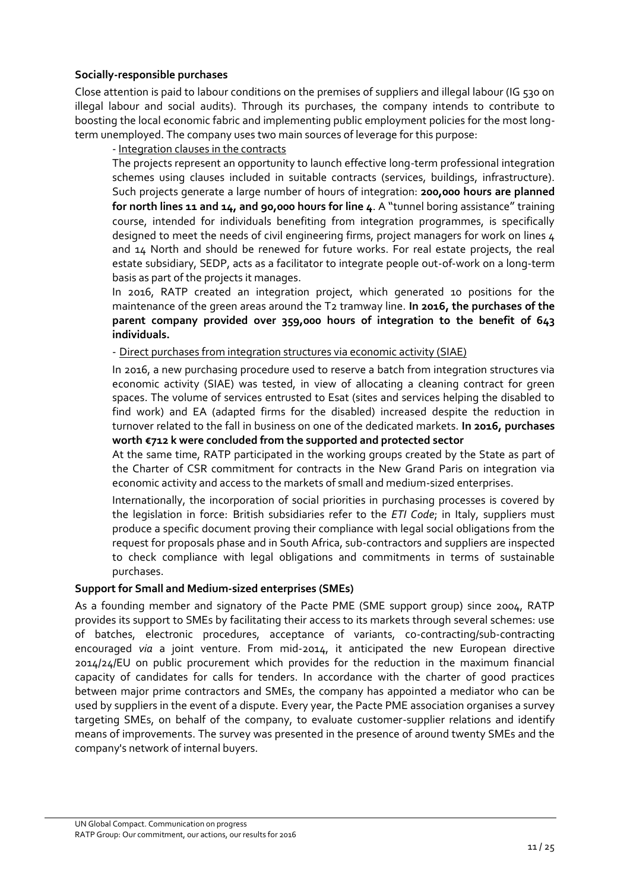#### **Socially-responsible purchases**

Close attention is paid to labour conditions on the premises of suppliers and illegal labour (IG 530 on illegal labour and social audits). Through its purchases, the company intends to contribute to boosting the local economic fabric and implementing public employment policies for the most longterm unemployed. The company uses two main sources of leverage for this purpose:

#### - Integration clauses in the contracts

The projects represent an opportunity to launch effective long-term professional integration schemes using clauses included in suitable contracts (services, buildings, infrastructure). Such projects generate a large number of hours of integration: **200,000 hours are planned for north lines 11 and 14, and 90,000 hours for line 4**. A "tunnel boring assistance" training course, intended for individuals benefiting from integration programmes, is specifically designed to meet the needs of civil engineering firms, project managers for work on lines 4 and 14 North and should be renewed for future works. For real estate projects, the real estate subsidiary, SEDP, acts as a facilitator to integrate people out-of-work on a long-term basis as part of the projects it manages.

In 2016, RATP created an integration project, which generated 10 positions for the maintenance of the green areas around the T2 tramway line. **In 2016, the purchases of the parent company provided over 359,000 hours of integration to the benefit of 643 individuals.**

- Direct purchases from integration structures via economic activity (SIAE)

In 2016, a new purchasing procedure used to reserve a batch from integration structures via economic activity (SIAE) was tested, in view of allocating a cleaning contract for green spaces. The volume of services entrusted to Esat (sites and services helping the disabled to find work) and EA (adapted firms for the disabled) increased despite the reduction in turnover related to the fall in business on one of the dedicated markets. **In 2016, purchases worth €712 k were concluded from the supported and protected sector**

At the same time, RATP participated in the working groups created by the State as part of the Charter of CSR commitment for contracts in the New Grand Paris on integration via economic activity and access to the markets of small and medium-sized enterprises.

Internationally, the incorporation of social priorities in purchasing processes is covered by the legislation in force: British subsidiaries refer to the *ETI Code*; in Italy, suppliers must produce a specific document proving their compliance with legal social obligations from the request for proposals phase and in South Africa, sub-contractors and suppliers are inspected to check compliance with legal obligations and commitments in terms of sustainable purchases.

#### **Support for Small and Medium-sized enterprises (SMEs)**

As a founding member and signatory of the Pacte PME (SME support group) since 2004, RATP provides its support to SMEs by facilitating their access to its markets through several schemes: use of batches, electronic procedures, acceptance of variants, co-contracting/sub-contracting encouraged *via* a joint venture. From mid-2014, it anticipated the new European directive 2014/24/EU on public procurement which provides for the reduction in the maximum financial capacity of candidates for calls for tenders. In accordance with the charter of good practices between major prime contractors and SMEs, the company has appointed a mediator who can be used by suppliers in the event of a dispute. Every year, the Pacte PME association organises a survey targeting SMEs, on behalf of the company, to evaluate customer-supplier relations and identify means of improvements. The survey was presented in the presence of around twenty SMEs and the company's network of internal buyers.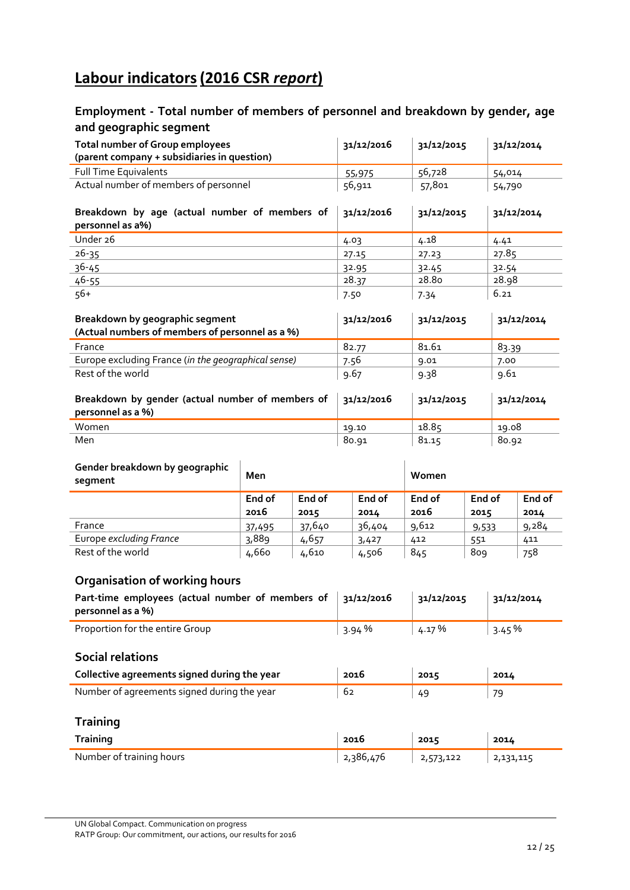## **Labour indicators(2016 CSR** *report***)**

## **Employment - Total number of members of personnel and breakdown by gender, age and geographic segment**

| <b>Total number of Group employees</b>                                             | 31/12/2016 | 31/12/2015 | 31/12/2014 |
|------------------------------------------------------------------------------------|------------|------------|------------|
| (parent company + subsidiaries in question)                                        |            |            |            |
| <b>Full Time Equivalents</b>                                                       | 55,975     | 56,728     | 54,014     |
| Actual number of members of personnel                                              | 56,911     | 57,801     | 54,790     |
| Breakdown by age (actual number of members of<br>personnel as a%)                  | 31/12/2016 | 31/12/2015 | 31/12/2014 |
| Under 26                                                                           | 4.03       | 4.18       | 4.41       |
| $26 - 35$                                                                          | 27.15      | 27.23      | 27.85      |
| $36 - 45$                                                                          | 32.95      | 32.45      | 32.54      |
| $46 - 55$                                                                          | 28.37      | 28.80      | 28.98      |
| $56+$                                                                              | 7.50       | 7.34       | 6.21       |
| Breakdown by geographic segment<br>(Actual numbers of members of personnel as a %) | 31/12/2016 | 31/12/2015 | 31/12/2014 |
| France                                                                             | 82.77      | 81.61      | 83.39      |
| Europe excluding France (in the geographical sense)                                | 7.56       | 9.01       | 7.00       |
| Rest of the world                                                                  | 9.67       | 9.38       | 9.61       |
| Breakdown by gender (actual number of members of<br>personnel as a %)              | 31/12/2016 | 31/12/2015 | 31/12/2014 |
| Women                                                                              | 19.10      | 18.85      | 19.08      |
| Men                                                                                | 80.91      | 81.15      | 80.92      |

| Gender breakdown by geographic<br>segment | Men    |        |        | Women  |        |        |
|-------------------------------------------|--------|--------|--------|--------|--------|--------|
|                                           | End of | End of | End of | End of | End of | End of |
|                                           | 2016   | 2015   | 2014   | 2016   | 2015   | 2014   |
| France                                    | 37,495 | 37,640 | 36,404 | 9,612  | 9,533  | 9,284  |
| Europe excluding France                   | 3,889  | 4,657  | 3,427  | 412    | 551    | 411    |
| Rest of the world                         | 4,660  | 4,610  | 4,506  | 845    | 809    | 758    |

## **Organisation of working hours**

| Part-time employees (actual number of members of<br>personnel as a %) | 31/12/2016 | 31/12/2015 | 31/12/2014 |
|-----------------------------------------------------------------------|------------|------------|------------|
| Proportion for the entire Group                                       | 3.94%      | 4.17 %     | 3.45%      |
| <b>Social relations</b>                                               |            |            |            |
| Collective agreements signed during the year                          | 2016       | 2015       | 2014       |
| Number of agreements signed during the year                           | 62         | 49         | 79         |
| <b>Training</b>                                                       |            |            |            |
| <b>Training</b>                                                       | 2016       | 2015       | 2014       |
| Number of training hours                                              | 2,386,476  | 2,573,122  | 2,131,115  |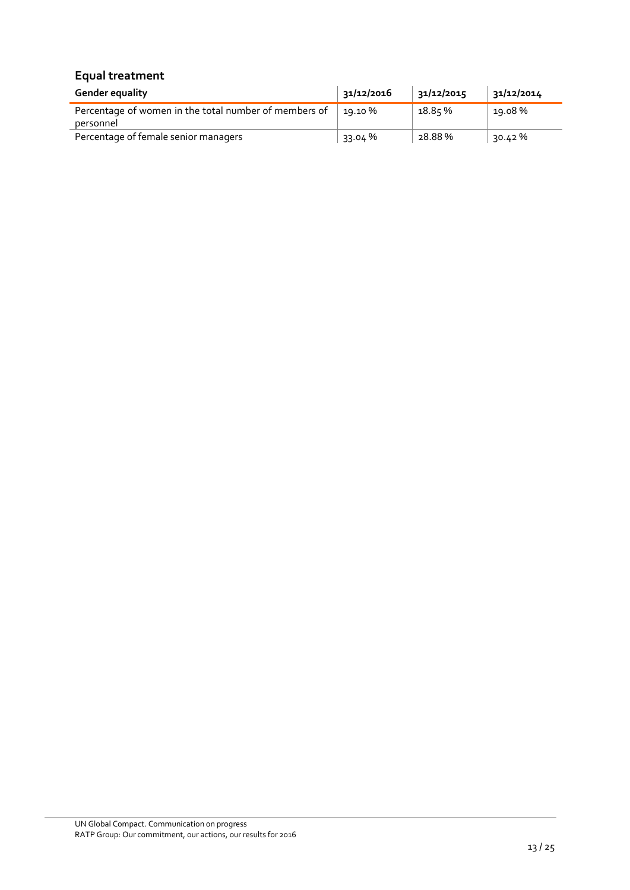## **Equal treatment**

| <b>Gender equality</b>                                             | 31/12/2016 | 31/12/2015 | 31/12/2014 |
|--------------------------------------------------------------------|------------|------------|------------|
| Percentage of women in the total number of members of<br>personnel | 19.10 %    | 18.85 %    | 19.08%     |
| Percentage of female senior managers                               | 33.04 %    | 28.88%     | 30.42 %    |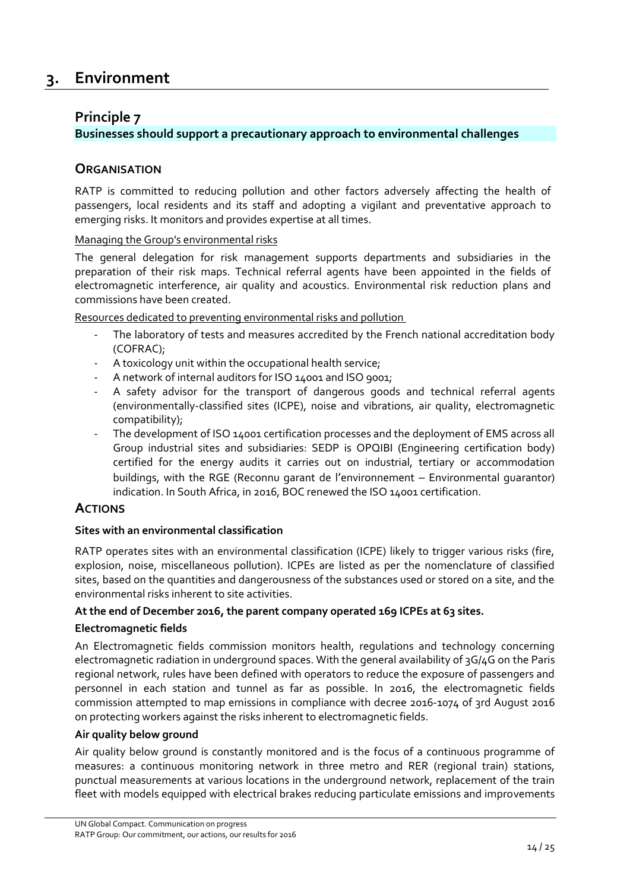## <span id="page-13-0"></span>**3. Environment**

## <span id="page-13-1"></span>**Principle 7**

## **Businesses should support a precautionary approach to environmental challenges**

## **ORGANISATION**

RATP is committed to reducing pollution and other factors adversely affecting the health of passengers, local residents and its staff and adopting a vigilant and preventative approach to emerging risks. It monitors and provides expertise at all times.

#### Managing the Group's environmental risks

The general delegation for risk management supports departments and subsidiaries in the preparation of their risk maps. Technical referral agents have been appointed in the fields of electromagnetic interference, air quality and acoustics. Environmental risk reduction plans and commissions have been created.

Resources dedicated to preventing environmental risks and pollution

- The laboratory of tests and measures accredited by the French national accreditation body (COFRAC);
- A toxicology unit within the occupational health service;
- A network of internal auditors for ISO 14001 and ISO 9001;
- A safety advisor for the transport of dangerous goods and technical referral agents (environmentally-classified sites (ICPE), noise and vibrations, air quality, electromagnetic compatibility);
- The development of ISO 14001 certification processes and the deployment of EMS across all Group industrial sites and subsidiaries: SEDP is OPQIBI (Engineering certification body) certified for the energy audits it carries out on industrial, tertiary or accommodation buildings, with the RGE (Reconnu garant de l'environnement – Environmental guarantor) indication. In South Africa, in 2016, BOC renewed the ISO 14001 certification.

## **ACTIONS**

#### **Sites with an environmental classification**

RATP operates sites with an environmental classification (ICPE) likely to trigger various risks (fire, explosion, noise, miscellaneous pollution). ICPEs are listed as per the nomenclature of classified sites, based on the quantities and dangerousness of the substances used or stored on a site, and the environmental risks inherent to site activities.

#### **At the end of December 2016, the parent company operated 169 ICPEs at 63 sites.**

#### **Electromagnetic fields**

An Electromagnetic fields commission monitors health, regulations and technology concerning electromagnetic radiation in underground spaces. With the general availability of 3G/4G on the Paris regional network, rules have been defined with operators to reduce the exposure of passengers and personnel in each station and tunnel as far as possible. In 2016, the electromagnetic fields commission attempted to map emissions in compliance with decree 2016-1074 of 3rd August 2016 on protecting workers against the risks inherent to electromagnetic fields.

#### **Air quality below ground**

Air quality below ground is constantly monitored and is the focus of a continuous programme of measures: a continuous monitoring network in three metro and RER (regional train) stations, punctual measurements at various locations in the underground network, replacement of the train fleet with models equipped with electrical brakes reducing particulate emissions and improvements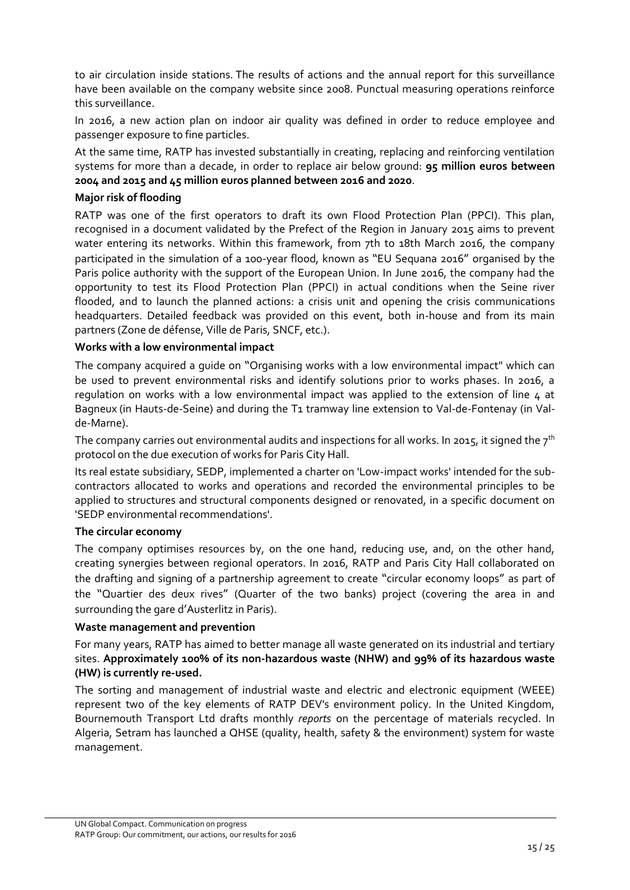to air circulation inside stations. The results of actions and the annual report for this surveillance have been available on the company website since 2008. Punctual measuring operations reinforce this surveillance.

In 2016, a new action plan on indoor air quality was defined in order to reduce employee and passenger exposure to fine particles.

At the same time, RATP has invested substantially in creating, replacing and reinforcing ventilation systems for more than a decade, in order to replace air below ground: **95 million euros between 2004 and 2015 and 45 million euros planned between 2016 and 2020**.

### **Major risk of flooding**

RATP was one of the first operators to draft its own Flood Protection Plan (PPCI). This plan, recognised in a document validated by the Prefect of the Region in January 2015 aims to prevent water entering its networks. Within this framework, from 7th to 18th March 2016, the company participated in the simulation of a 100-year flood, known as "EU Sequana 2016" organised by the Paris police authority with the support of the European Union. In June 2016, the company had the opportunity to test its Flood Protection Plan (PPCI) in actual conditions when the Seine river flooded, and to launch the planned actions: a crisis unit and opening the crisis communications headquarters. Detailed feedback was provided on this event, both in-house and from its main partners (Zone de défense, Ville de Paris, SNCF, etc.).

#### **Works with a low environmental impact**

The company acquired a guide on "Organising works with a low environmental impact" which can be used to prevent environmental risks and identify solutions prior to works phases. In 2016, a regulation on works with a low environmental impact was applied to the extension of line  $\mu$  at Bagneux (in Hauts-de-Seine) and during the T1 tramway line extension to Val-de-Fontenay (in Valde-Marne).

The company carries out environmental audits and inspections for all works. In 2015, it signed the  $7<sup>th</sup>$ protocol on the due execution of works for Paris City Hall.

Its real estate subsidiary, SEDP, implemented a charter on 'Low-impact works' intended for the subcontractors allocated to works and operations and recorded the environmental principles to be applied to structures and structural components designed or renovated, in a specific document on 'SEDP environmental recommendations'.

#### **The circular economy**

The company optimises resources by, on the one hand, reducing use, and, on the other hand, creating synergies between regional operators. In 2016, RATP and Paris City Hall collaborated on the drafting and signing of a partnership agreement to create "circular economy loops" as part of the "Quartier des deux rives" (Quarter of the two banks) project (covering the area in and surrounding the gare d'Austerlitz in Paris).

#### **Waste management and prevention**

For many years, RATP has aimed to better manage all waste generated on its industrial and tertiary sites. **Approximately 100% of its non-hazardous waste (NHW) and 99% of its hazardous waste (HW) is currently re-used.**

The sorting and management of industrial waste and electric and electronic equipment (WEEE) represent two of the key elements of RATP DEV's environment policy. In the United Kingdom, Bournemouth Transport Ltd drafts monthly *reports* on the percentage of materials recycled. In Algeria, Setram has launched a QHSE (quality, health, safety & the environment) system for waste management.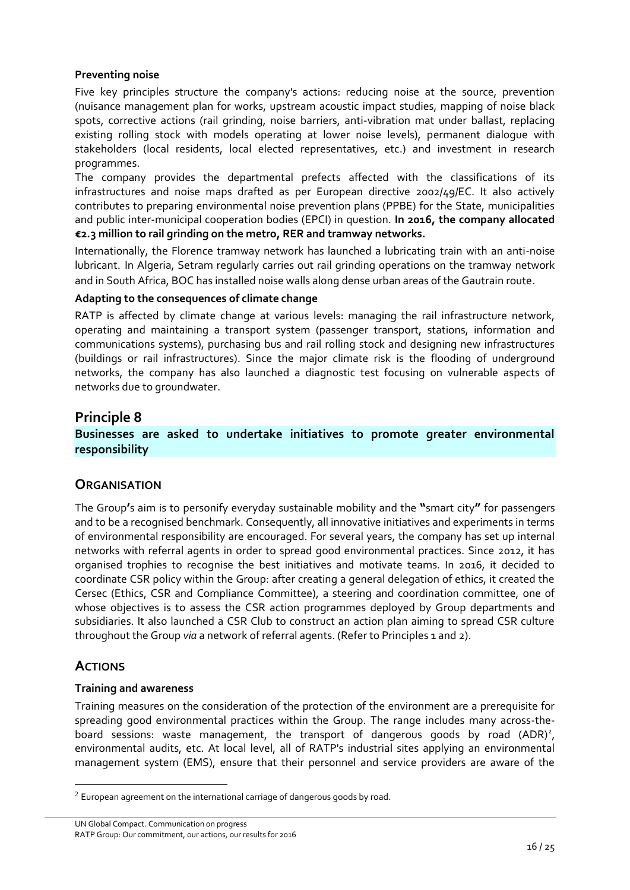#### **Preventing noise**

Five key principles structure the company's actions: reducing noise at the source, prevention (nuisance management plan for works, upstream acoustic impact studies, mapping of noise black spots, corrective actions (rail grinding, noise barriers, anti-vibration mat under ballast, replacing existing rolling stock with models operating at lower noise levels), permanent dialogue with stakeholders (local residents, local elected representatives, etc.) and investment in research programmes.

The company provides the departmental prefects affected with the classifications of its infrastructures and noise maps drafted as per European directive 2002/49/EC. It also actively contributes to preparing environmental noise prevention plans (PPBE) for the State, municipalities and public inter-municipal cooperation bodies (EPCI) in question. **In 2016, the company allocated €2.3 million to rail grinding on the metro, RER and tramway networks.**

Internationally, the Florence tramway network has launched a lubricating train with an anti-noise lubricant. In Algeria, Setram regularly carries out rail grinding operations on the tramway network and in South Africa, BOC has installed noise walls along dense urban areas of the Gautrain route.

#### **Adapting to the consequences of climate change**

RATP is affected by climate change at various levels: managing the rail infrastructure network, operating and maintaining a transport system (passenger transport, stations, information and communications systems), purchasing bus and rail rolling stock and designing new infrastructures (buildings or rail infrastructures). Since the major climate risk is the flooding of underground networks, the company has also launched a diagnostic test focusing on vulnerable aspects of networks due to groundwater.

## <span id="page-15-0"></span>**Principle 8**

## **Businesses are asked to undertake initiatives to promote greater environmental responsibility**

## **ORGANISATION**

The Group**'**s aim is to personify everyday sustainable mobility and the **"**smart city**"** for passengers and to be a recognised benchmark. Consequently, all innovative initiatives and experiments in terms of environmental responsibility are encouraged. For several years, the company has set up internal networks with referral agents in order to spread good environmental practices. Since 2012, it has organised trophies to recognise the best initiatives and motivate teams. In 2016, it decided to coordinate CSR policy within the Group: after creating a general delegation of ethics, it created the Cersec (Ethics, CSR and Compliance Committee), a steering and coordination committee, one of whose objectives is to assess the CSR action programmes deployed by Group departments and subsidiaries. It also launched a CSR Club to construct an action plan aiming to spread CSR culture throughout the Group *via* a network of referral agents. (Refer to Principles 1 and 2).

## **ACTIONS**

1

#### **Training and awareness**

Training measures on the consideration of the protection of the environment are a prerequisite for spreading good environmental practices within the Group. The range includes many across-theboard sessions: waste management, the transport of dangerous goods by road (ADR)<sup>2</sup>, environmental audits, etc. At local level, all of RATP's industrial sites applying an environmental management system (EMS), ensure that their personnel and service providers are aware of the

 $2$  European agreement on the international carriage of dangerous goods by road.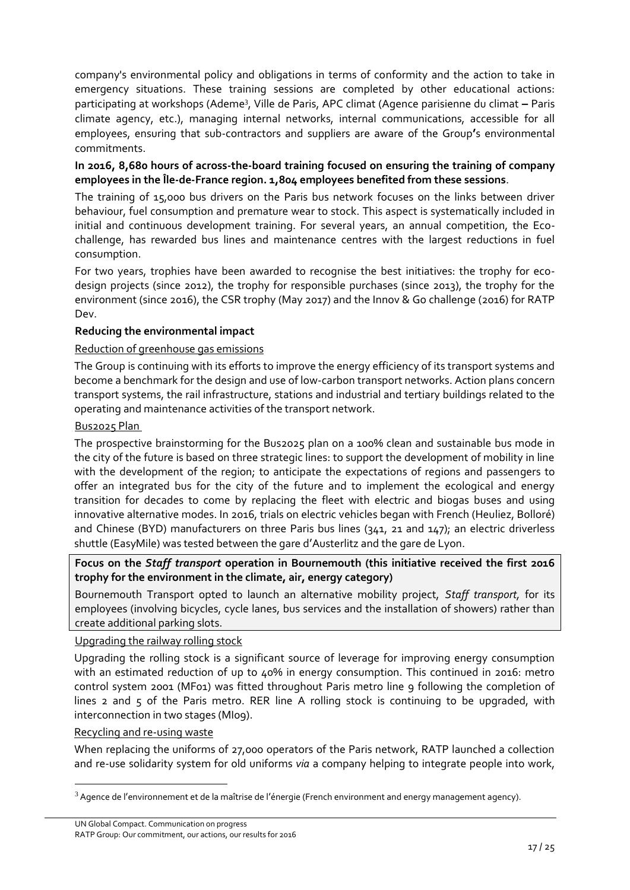company's environmental policy and obligations in terms of conformity and the action to take in emergency situations. These training sessions are completed by other educational actions: participating at workshops (Ademe<sup>3</sup> , Ville de Paris, APC climat (Agence parisienne du climat **–** Paris climate agency, etc.), managing internal networks, internal communications, accessible for all employees, ensuring that sub-contractors and suppliers are aware of the Group**'**s environmental commitments.

## **In 2016, 8,680 hours of across-the-board training focused on ensuring the training of company employees in the Île-de-France region. 1,804 employees benefited from these sessions**.

The training of 15,000 bus drivers on the Paris bus network focuses on the links between driver behaviour, fuel consumption and premature wear to stock. This aspect is systematically included in initial and continuous development training. For several years, an annual competition, the Ecochallenge, has rewarded bus lines and maintenance centres with the largest reductions in fuel consumption.

For two years, trophies have been awarded to recognise the best initiatives: the trophy for ecodesign projects (since 2012), the trophy for responsible purchases (since 2013), the trophy for the environment (since 2016), the CSR trophy (May 2017) and the Innov & Go challenge (2016) for RATP Dev.

## **Reducing the environmental impact**

#### Reduction of greenhouse gas emissions

The Group is continuing with its efforts to improve the energy efficiency of its transport systems and become a benchmark for the design and use of low-carbon transport networks. Action plans concern transport systems, the rail infrastructure, stations and industrial and tertiary buildings related to the operating and maintenance activities of the transport network.

## Bus2025 Plan

The prospective brainstorming for the Bus2025 plan on a 100% clean and sustainable bus mode in the city of the future is based on three strategic lines: to support the development of mobility in line with the development of the region; to anticipate the expectations of regions and passengers to offer an integrated bus for the city of the future and to implement the ecological and energy transition for decades to come by replacing the fleet with electric and biogas buses and using innovative alternative modes. In 2016, trials on electric vehicles began with French (Heuliez, Bolloré) and Chinese (BYD) manufacturers on three Paris bus lines (341, 21 and 147); an electric driverless shuttle (EasyMile) was tested between the gare d'Austerlitz and the gare de Lyon.

## **Focus on the** *Staff transport* **operation in Bournemouth (this initiative received the first 2016 trophy for the environment in the climate, air, energy category)**

Bournemouth Transport opted to launch an alternative mobility project, *Staff transport,* for its employees (involving bicycles, cycle lanes, bus services and the installation of showers) rather than create additional parking slots.

#### Upgrading the railway rolling stock

Upgrading the rolling stock is a significant source of leverage for improving energy consumption with an estimated reduction of up to 40% in energy consumption. This continued in 2016: metro control system 2001 (MF01) was fitted throughout Paris metro line 9 following the completion of lines 2 and 5 of the Paris metro. RER line A rolling stock is continuing to be upgraded, with interconnection in two stages (MI09).

#### Recycling and re-using waste

1

When replacing the uniforms of 27,000 operators of the Paris network, RATP launched a collection and re-use solidarity system for old uniforms *via* a company helping to integrate people into work,

 $3$  Agence de l'environnement et de la maîtrise de l'énergie (French environment and energy management agency).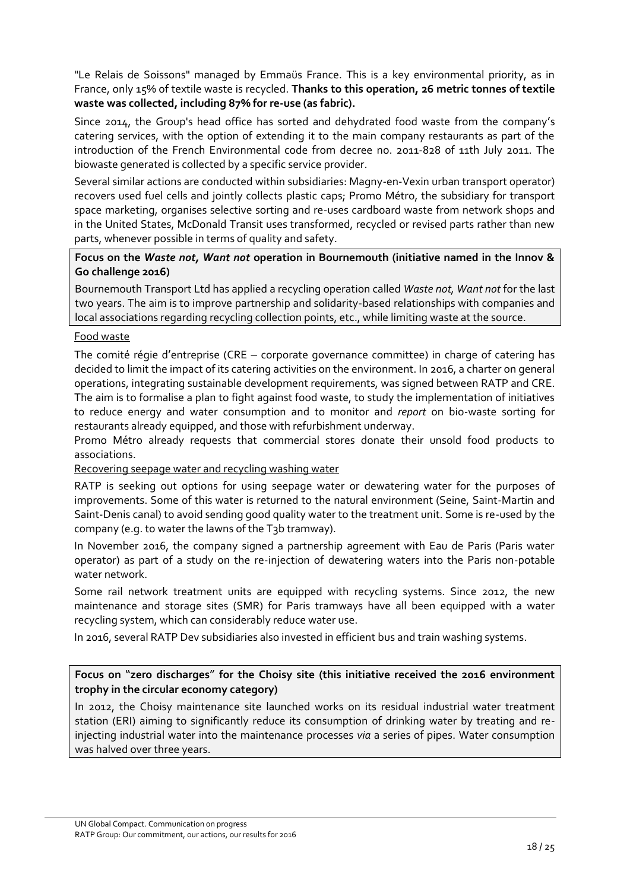"Le Relais de Soissons" managed by Emmaüs France. This is a key environmental priority, as in France, only 15% of textile waste is recycled. **Thanks to this operation, 26 metric tonnes of textile waste was collected, including 87% for re-use (as fabric).**

Since 2014, the Group's head office has sorted and dehydrated food waste from the company's catering services, with the option of extending it to the main company restaurants as part of the introduction of the French Environmental code from decree no. 2011-828 of 11th July 2011. The biowaste generated is collected by a specific service provider.

Several similar actions are conducted within subsidiaries: Magny-en-Vexin urban transport operator) recovers used fuel cells and jointly collects plastic caps; Promo Métro, the subsidiary for transport space marketing, organises selective sorting and re-uses cardboard waste from network shops and in the United States, McDonald Transit uses transformed, recycled or revised parts rather than new parts, whenever possible in terms of quality and safety.

### **Focus on the** *Waste not, Want not* **operation in Bournemouth (initiative named in the Innov & Go challenge 2016)**

Bournemouth Transport Ltd has applied a recycling operation called *Waste not, Want not* for the last two years. The aim is to improve partnership and solidarity-based relationships with companies and local associations regarding recycling collection points, etc., while limiting waste at the source.

#### Food waste

The comité régie d'entreprise (CRE – corporate governance committee) in charge of catering has decided to limit the impact of its catering activities on the environment. In 2016, a charter on general operations, integrating sustainable development requirements, was signed between RATP and CRE. The aim is to formalise a plan to fight against food waste, to study the implementation of initiatives to reduce energy and water consumption and to monitor and *report* on bio-waste sorting for restaurants already equipped, and those with refurbishment underway.

Promo Métro already requests that commercial stores donate their unsold food products to associations.

#### Recovering seepage water and recycling washing water

RATP is seeking out options for using seepage water or dewatering water for the purposes of improvements. Some of this water is returned to the natural environment (Seine, Saint-Martin and Saint-Denis canal) to avoid sending good quality water to the treatment unit. Some is re-used by the company (e.g. to water the lawns of the T3b tramway).

In November 2016, the company signed a partnership agreement with Eau de Paris (Paris water operator) as part of a study on the re-injection of dewatering waters into the Paris non-potable water network.

Some rail network treatment units are equipped with recycling systems. Since 2012, the new maintenance and storage sites (SMR) for Paris tramways have all been equipped with a water recycling system, which can considerably reduce water use.

In 2016, several RATP Dev subsidiaries also invested in efficient bus and train washing systems.

## **Focus on** "**zero discharges**" **for the Choisy site (this initiative received the 2016 environment trophy in the circular economy category)**

In 2012, the Choisy maintenance site launched works on its residual industrial water treatment station (ERI) aiming to significantly reduce its consumption of drinking water by treating and reinjecting industrial water into the maintenance processes *via* a series of pipes. Water consumption was halved over three years.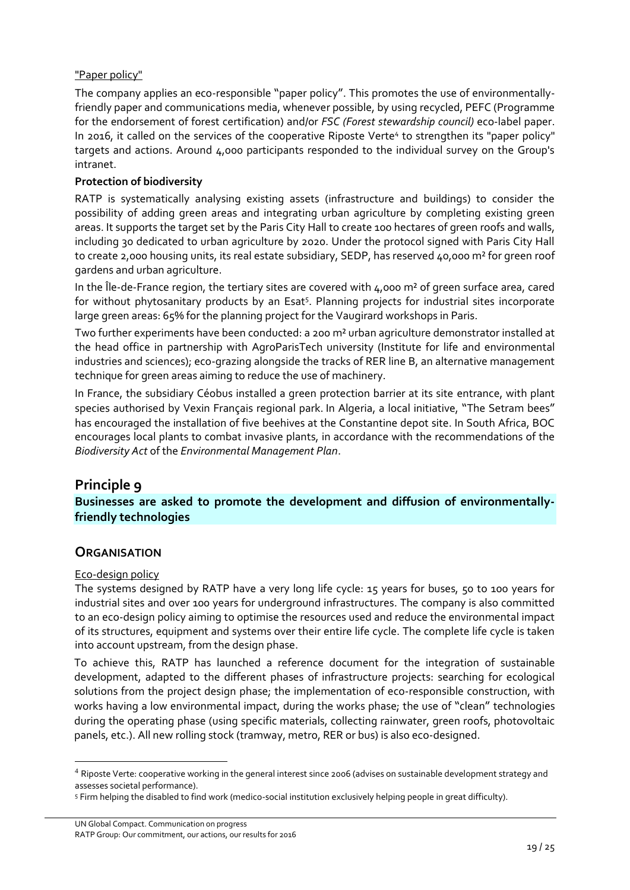## "Paper policy"

The company applies an eco-responsible "paper policy". This promotes the use of environmentallyfriendly paper and communications media, whenever possible, by using recycled, PEFC (Programme for the endorsement of forest certification) and/or *FSC (Forest stewardship council)* eco-label paper. In 2016, it called on the services of the cooperative Riposte Verte<sup>4</sup> to strengthen its "paper policy" targets and actions. Around 4,000 participants responded to the individual survey on the Group's intranet.

### **Protection of biodiversity**

RATP is systematically analysing existing assets (infrastructure and buildings) to consider the possibility of adding green areas and integrating urban agriculture by completing existing green areas. It supports the target set by the Paris City Hall to create 100 hectares of green roofs and walls, including 30 dedicated to urban agriculture by 2020. Under the protocol signed with Paris City Hall to create 2,000 housing units, its real estate subsidiary, SEDP, has reserved 40,000 m² for green roof gardens and urban agriculture.

In the Île-de-France region, the tertiary sites are covered with 4,000 m² of green surface area, cared for without phytosanitary products by an Esat<sup>5</sup>. Planning projects for industrial sites incorporate large green areas: 65% for the planning project for the Vaugirard workshops in Paris.

Two further experiments have been conducted: a 200 m² urban agriculture demonstrator installed at the head office in partnership with AgroParisTech university (Institute for life and environmental industries and sciences); eco-grazing alongside the tracks of RER line B, an alternative management technique for green areas aiming to reduce the use of machinery.

In France, the subsidiary Céobus installed a green protection barrier at its site entrance, with plant species authorised by Vexin Français regional park. In Algeria, a local initiative, "The Setram bees" has encouraged the installation of five beehives at the Constantine depot site. In South Africa, BOC encourages local plants to combat invasive plants, in accordance with the recommendations of the *Biodiversity Act* of the *Environmental Management Plan*.

## **Principle 9**

**Businesses are asked to promote the development and diffusion of environmentallyfriendly technologies**

## **ORGANISATION**

#### Eco-design policy

<u>.</u>

The systems designed by RATP have a very long life cycle: 15 years for buses, 50 to 100 years for industrial sites and over 100 years for underground infrastructures. The company is also committed to an eco-design policy aiming to optimise the resources used and reduce the environmental impact of its structures, equipment and systems over their entire life cycle. The complete life cycle is taken into account upstream, from the design phase.

To achieve this, RATP has launched a reference document for the integration of sustainable development, adapted to the different phases of infrastructure projects: searching for ecological solutions from the project design phase; the implementation of eco-responsible construction, with works having a low environmental impact, during the works phase; the use of "clean" technologies during the operating phase (using specific materials, collecting rainwater, green roofs, photovoltaic panels, etc.). All new rolling stock (tramway, metro, RER or bus) is also eco-designed.

<sup>&</sup>lt;sup>4</sup> Riposte Verte: cooperative working in the general interest since 2006 (advises on sustainable development strategy and assesses societal performance).

<sup>5</sup> Firm helping the disabled to find work (medico-social institution exclusively helping people in great difficulty).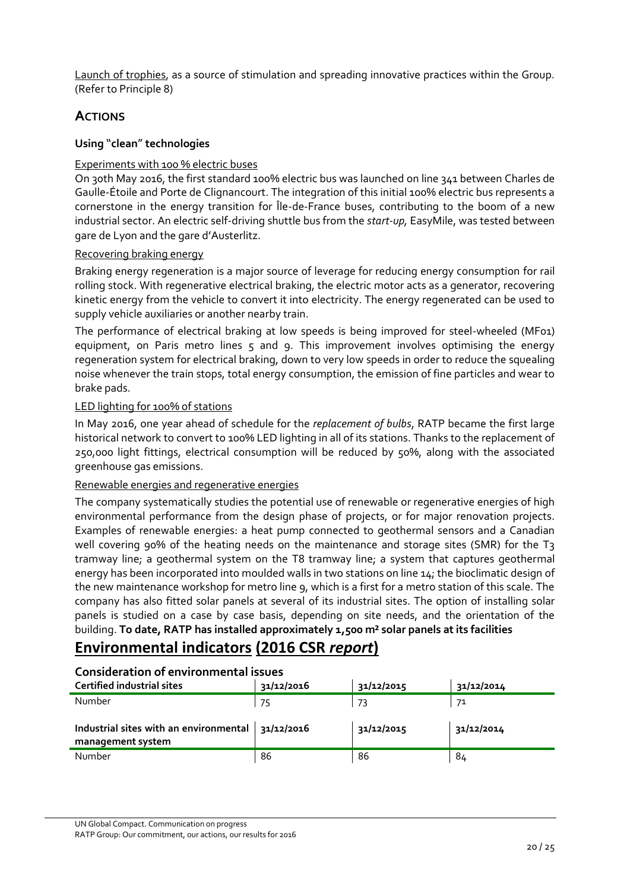Launch of trophies, as a source of stimulation and spreading innovative practices within the Group. (Refer to Principle 8)

## **ACTIONS**

### **Using** "**clean**" **technologies**

## Experiments with 100 % electric buses

On 30th May 2016, the first standard 100% electric bus was launched on line 341 between Charles de Gaulle-Étoile and Porte de Clignancourt. The integration of this initial 100% electric bus represents a cornerstone in the energy transition for Île-de-France buses, contributing to the boom of a new industrial sector. An electric self-driving shuttle bus from the *start-up,* EasyMile, was tested between gare de Lyon and the gare d'Austerlitz.

## Recovering braking energy

Braking energy regeneration is a major source of leverage for reducing energy consumption for rail rolling stock. With regenerative electrical braking, the electric motor acts as a generator, recovering kinetic energy from the vehicle to convert it into electricity. The energy regenerated can be used to supply vehicle auxiliaries or another nearby train.

The performance of electrical braking at low speeds is being improved for steel-wheeled (MF01) equipment, on Paris metro lines 5 and 9. This improvement involves optimising the energy regeneration system for electrical braking, down to very low speeds in order to reduce the squealing noise whenever the train stops, total energy consumption, the emission of fine particles and wear to brake pads.

## LED lighting for 100% of stations

In May 2016, one year ahead of schedule for the *replacement of bulbs*, RATP became the first large historical network to convert to 100% LED lighting in all of its stations. Thanks to the replacement of 250,000 light fittings, electrical consumption will be reduced by 50%, along with the associated greenhouse gas emissions.

#### Renewable energies and regenerative energies

The company systematically studies the potential use of renewable or regenerative energies of high environmental performance from the design phase of projects, or for major renovation projects. Examples of renewable energies: a heat pump connected to geothermal sensors and a Canadian well covering 90% of the heating needs on the maintenance and storage sites (SMR) for the T<sub>3</sub> tramway line; a geothermal system on the T8 tramway line; a system that captures geothermal energy has been incorporated into moulded walls in two stations on line 14; the bioclimatic design of the new maintenance workshop for metro line 9, which is a first for a metro station of this scale. The company has also fitted solar panels at several of its industrial sites. The option of installing solar panels is studied on a case by case basis, depending on site needs, and the orientation of the building. **To date, RATP has installed approximately 1,500 m² solar panels at its facilities** 

## **Environmental indicators (2016 CSR** *report***)**

## **Consideration of environmental issues**

| <b>Certified industrial sites</b>                                        | 31/12/2016 | 31/12/2015 | 31/12/2014 |
|--------------------------------------------------------------------------|------------|------------|------------|
| Number                                                                   | 75         | -73        | 71         |
| Industrial sites with an environmental   31/12/2016<br>management system |            | 31/12/2015 | 31/12/2014 |
| Number                                                                   | 86         | 86         | 84         |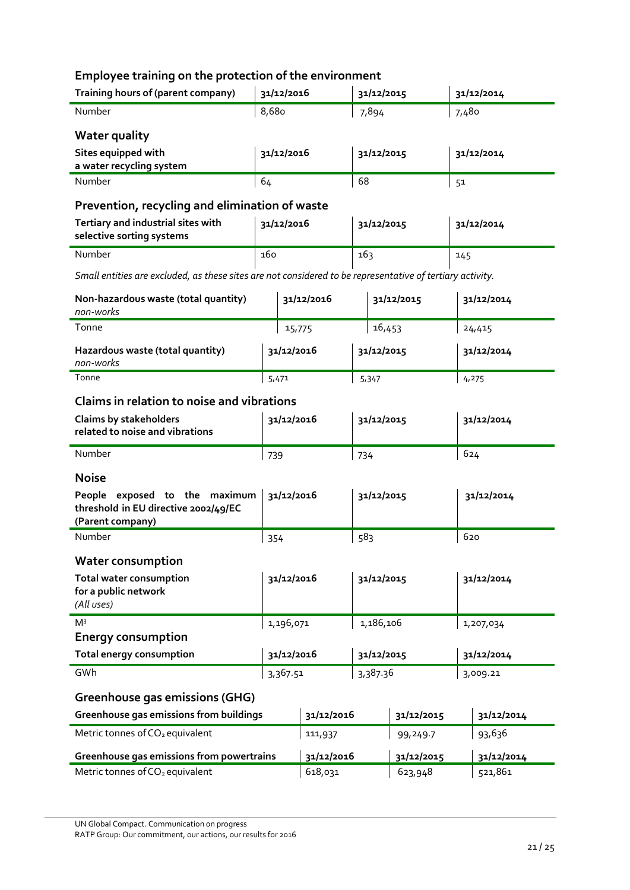## **Employee training on the protection of the environment**

| Training hours of (parent company)                              | 31/12/2016 | 31/12/2015 | 31/12/2014 |  |  |
|-----------------------------------------------------------------|------------|------------|------------|--|--|
| Number                                                          | 8,680      | 7,894      | 7,480      |  |  |
| <b>Water quality</b>                                            |            |            |            |  |  |
| Sites equipped with<br>a water recycling system                 | 31/12/2016 | 31/12/2015 | 31/12/2014 |  |  |
| Number                                                          | 64         | 68         | 51         |  |  |
| Prevention, recycling and elimination of waste                  |            |            |            |  |  |
| Tertiary and industrial sites with<br>selective sorting systems | 31/12/2016 | 31/12/2015 | 31/12/2014 |  |  |

| selective sorting systems |     |     |   |
|---------------------------|-----|-----|---|
| Number                    | 160 | 16: | ᅭ |

*Small entities are excluded, as these sites are not considered to be representative of tertiary activity.*

| Non-hazardous waste (total quantity)<br>non-works | 31/12/2016 | 31/12/2015 | 31/12/2014 |
|---------------------------------------------------|------------|------------|------------|
| Tonne                                             | 15,775     | 16,453     | 24,415     |
| Hazardous waste (total quantity)<br>non-works     | 31/12/2016 | 31/12/2015 | 31/12/2014 |
| Tonne                                             | 5,471      | 5,347      | 4,275      |

## **Claims in relation to noise and vibrations**

| Claims by stakeholders<br>related to noise and vibrations                                 | 31/12/2016 | 31/12/2015 | 31/12/2014 |  |
|-------------------------------------------------------------------------------------------|------------|------------|------------|--|
| Number                                                                                    | 739        | 734        | 624        |  |
| <b>Noise</b>                                                                              |            |            |            |  |
| People exposed to the maximum<br>threshold in EU directive 2002/49/EC<br>(Parent company) | 31/12/2016 | 31/12/2015 | 31/12/2014 |  |
| Number                                                                                    | 354        | 583        | 620        |  |
| <b>Water consumption</b>                                                                  |            |            |            |  |
| <b>Total water consumption</b><br>for a public network<br>(All uses)                      | 31/12/2016 | 31/12/2015 | 31/12/2014 |  |
| M <sup>3</sup>                                                                            | 1,196,071  | 1,186,106  | 1,207,034  |  |
| <b>Energy consumption</b>                                                                 |            |            |            |  |
| <b>Total energy consumption</b>                                                           | 31/12/2016 | 31/12/2015 | 31/12/2014 |  |
| GWh                                                                                       | 3,367.51   | 3,387.36   | 3,009.21   |  |

## **Greenhouse gas emissions (GHG)**

| Greenhouse gas emissions from buildings     | 31/12/2016 | 31/12/2015 | 31/12/2014 |
|---------------------------------------------|------------|------------|------------|
| Metric tonnes of CO <sub>2</sub> equivalent | 111,937    | 99,249.7   | 93,636     |
|                                             |            |            |            |
| Greenhouse gas emissions from powertrains   | 31/12/2016 | 31/12/2015 | 31/12/2014 |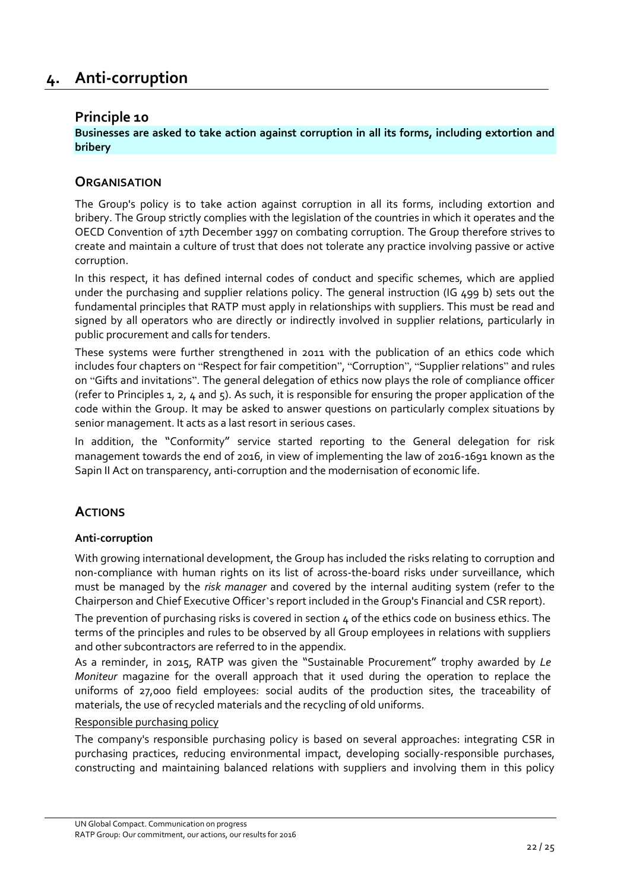## <span id="page-21-1"></span><span id="page-21-0"></span>**Principle 10**

**Businesses are asked to take action against corruption in all its forms, including extortion and bribery**

## **ORGANISATION**

The Group's policy is to take action against corruption in all its forms, including extortion and bribery. The Group strictly complies with the legislation of the countries in which it operates and the OECD Convention of 17th December 1997 on combating corruption. The Group therefore strives to create and maintain a culture of trust that does not tolerate any practice involving passive or active corruption.

In this respect, it has defined internal codes of conduct and specific schemes, which are applied under the purchasing and supplier relations policy. The general instruction (IG 499 b) sets out the fundamental principles that RATP must apply in relationships with suppliers. This must be read and signed by all operators who are directly or indirectly involved in supplier relations, particularly in public procurement and calls for tenders.

These systems were further strengthened in 2011 with the publication of an ethics code which includes four chapters on "Respect for fair competition", "Corruption", "Supplier relations" and rules on "Gifts and invitations". The general delegation of ethics now plays the role of compliance officer (refer to Principles 1, 2, 4 and 5). As such, it is responsible for ensuring the proper application of the code within the Group. It may be asked to answer questions on particularly complex situations by senior management. It acts as a last resort in serious cases.

In addition, the "Conformity" service started reporting to the General delegation for risk management towards the end of 2016, in view of implementing the law of 2016-1691 known as the Sapin II Act on transparency, anti-corruption and the modernisation of economic life.

## **ACTIONS**

## **Anti-corruption**

With growing international development, the Group has included the risks relating to corruption and non-compliance with human rights on its list of across-the-board risks under surveillance, which must be managed by the *risk manager* and covered by the internal auditing system (refer to the Chairperson and Chief Executive Officer's report included in the Group's Financial and CSR report).

The prevention of purchasing risks is covered in section  $4$  of the ethics code on business ethics. The terms of the principles and rules to be observed by all Group employees in relations with suppliers and other subcontractors are referred to in the appendix.

As a reminder, in 2015, RATP was given the "Sustainable Procurement" trophy awarded by *Le Moniteur* magazine for the overall approach that it used during the operation to replace the uniforms of 27,000 field employees: social audits of the production sites, the traceability of materials, the use of recycled materials and the recycling of old uniforms.

#### Responsible purchasing policy

The company's responsible purchasing policy is based on several approaches: integrating CSR in purchasing practices, reducing environmental impact, developing socially-responsible purchases, constructing and maintaining balanced relations with suppliers and involving them in this policy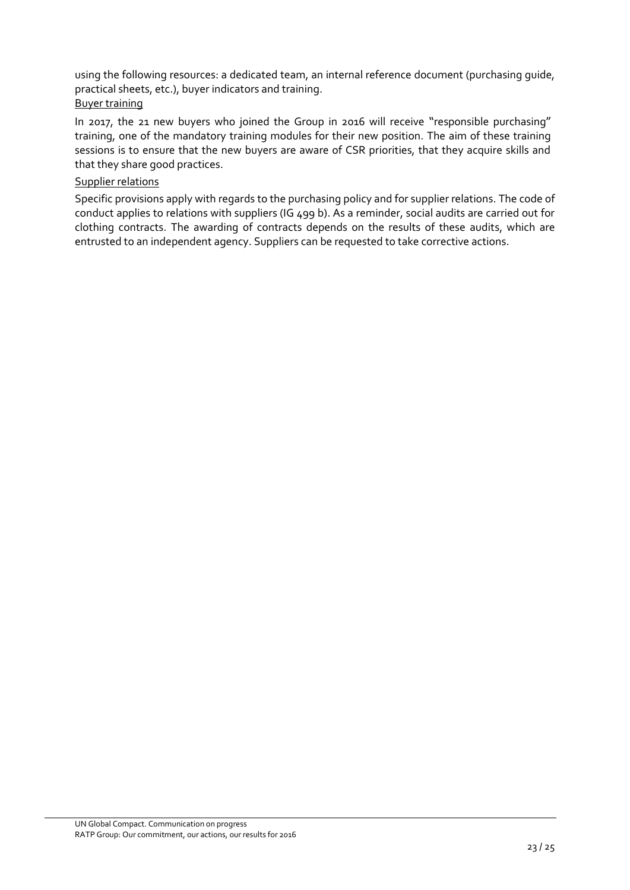using the following resources: a dedicated team, an internal reference document (purchasing guide, practical sheets, etc.), buyer indicators and training. Buyer training

In 2017, the 21 new buyers who joined the Group in 2016 will receive "responsible purchasing" training, one of the mandatory training modules for their new position. The aim of these training sessions is to ensure that the new buyers are aware of CSR priorities, that they acquire skills and that they share good practices.

#### Supplier relations

Specific provisions apply with regards to the purchasing policy and for supplier relations. The code of conduct applies to relations with suppliers (IG 499 b). As a reminder, social audits are carried out for clothing contracts. The awarding of contracts depends on the results of these audits, which are entrusted to an independent agency. Suppliers can be requested to take corrective actions.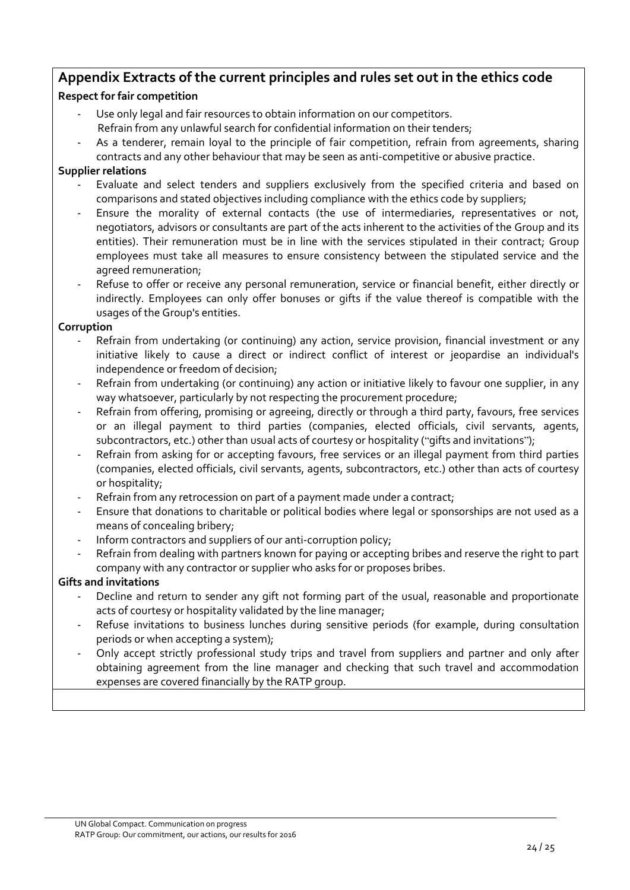## **Appendix Extracts of the current principles and rules set out in the ethics code**

## **Respect for fair competition**

- Use only legal and fair resources to obtain information on our competitors. Refrain from any unlawful search for confidential information on their tenders;
- As a tenderer, remain loyal to the principle of fair competition, refrain from agreements, sharing

contracts and any other behaviour that may be seen as anti-competitive or abusive practice.

## **Supplier relations**

- Evaluate and select tenders and suppliers exclusively from the specified criteria and based on comparisons and stated objectives including compliance with the ethics code by suppliers;
- Ensure the morality of external contacts (the use of intermediaries, representatives or not, negotiators, advisors or consultants are part of the acts inherent to the activities of the Group and its entities). Their remuneration must be in line with the services stipulated in their contract; Group employees must take all measures to ensure consistency between the stipulated service and the agreed remuneration;
- Refuse to offer or receive any personal remuneration, service or financial benefit, either directly or indirectly. Employees can only offer bonuses or gifts if the value thereof is compatible with the usages of the Group's entities.

## **Corruption**

- Refrain from undertaking (or continuing) any action, service provision, financial investment or any initiative likely to cause a direct or indirect conflict of interest or jeopardise an individual's independence or freedom of decision;
- Refrain from undertaking (or continuing) any action or initiative likely to favour one supplier, in any way whatsoever, particularly by not respecting the procurement procedure;
- Refrain from offering, promising or agreeing, directly or through a third party, favours, free services or an illegal payment to third parties (companies, elected officials, civil servants, agents, subcontractors, etc.) other than usual acts of courtesy or hospitality ("gifts and invitations");
- Refrain from asking for or accepting favours, free services or an illegal payment from third parties (companies, elected officials, civil servants, agents, subcontractors, etc.) other than acts of courtesy or hospitality;
- Refrain from any retrocession on part of a payment made under a contract;
- Ensure that donations to charitable or political bodies where legal or sponsorships are not used as a means of concealing bribery;
- Inform contractors and suppliers of our anti-corruption policy;
- Refrain from dealing with partners known for paying or accepting bribes and reserve the right to part company with any contractor or supplier who asks for or proposes bribes.

## **Gifts and invitations**

- Decline and return to sender any gift not forming part of the usual, reasonable and proportionate acts of courtesy or hospitality validated by the line manager;
- Refuse invitations to business lunches during sensitive periods (for example, during consultation periods or when accepting a system);
- Only accept strictly professional study trips and travel from suppliers and partner and only after obtaining agreement from the line manager and checking that such travel and accommodation expenses are covered financially by the RATP group.